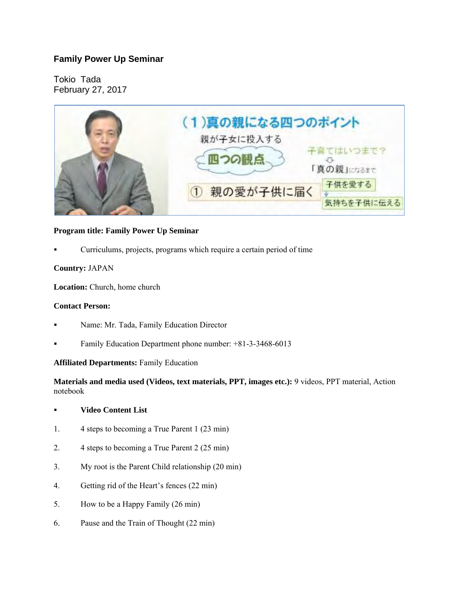# **Family Power Up Seminar**

Tokio Tada February 27, 2017



# **Program title: Family Power Up Seminar**

Curriculums, projects, programs which require a certain period of time

# **Country:** JAPAN

**Location:** Church, home church

# **Contact Person:**

- Name: Mr. Tada, Family Education Director
- Family Education Department phone number: +81-3-3468-6013

#### **Affiliated Departments:** Family Education

**Materials and media used (Videos, text materials, PPT, images etc.):** 9 videos, PPT material, Action notebook

#### **Video Content List**

- 1. 4 steps to becoming a True Parent 1 (23 min)
- 2. 4 steps to becoming a True Parent 2 (25 min)
- 3. My root is the Parent Child relationship (20 min)
- 4. Getting rid of the Heart's fences (22 min)
- 5. How to be a Happy Family (26 min)
- 6. Pause and the Train of Thought (22 min)